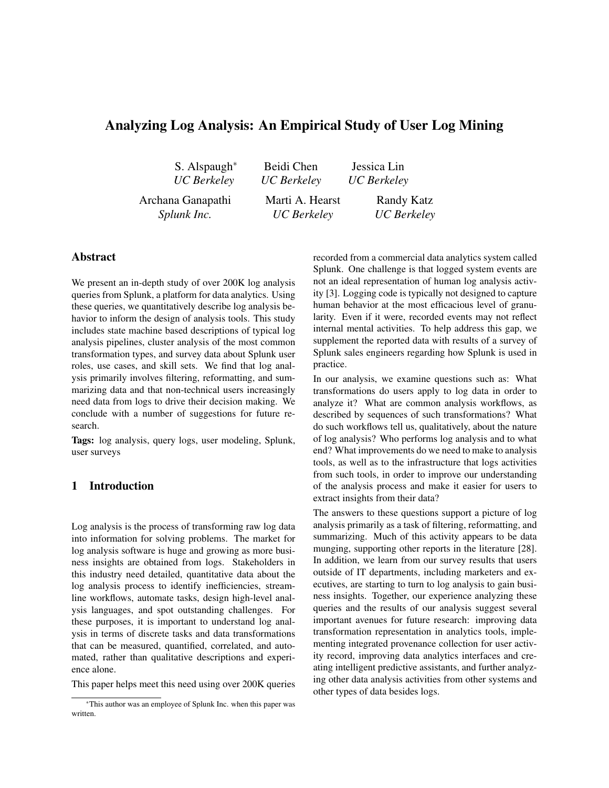# Analyzing Log Analysis: An Empirical Study of User Log Mining

S. Alspaugh*∗ UC Berkeley*

Jessica Lin *UC Berkeley*

Archana Ganapathi *Splunk Inc.*

Marti A. Hearst *UC Berkeley*

Beidi Chen *UC Berkeley*

> Randy Katz *UC Berkeley*

## Abstract

We present an in-depth study of over 200K log analysis queries from Splunk, a platform for data analytics. Using these queries, we quantitatively describe log analysis behavior to inform the design of analysis tools. This study includes state machine based descriptions of typical log analysis pipelines, cluster analysis of the most common transformation types, and survey data about Splunk user roles, use cases, and skill sets. We find that log analysis primarily involves filtering, reformatting, and summarizing data and that non-technical users increasingly need data from logs to drive their decision making. We conclude with a number of suggestions for future research.

Tags: log analysis, query logs, user modeling, Splunk, user surveys

#### 1 Introduction

Log analysis is the process of transforming raw log data into information for solving problems. The market for log analysis software is huge and growing as more business insights are obtained from logs. Stakeholders in this industry need detailed, quantitative data about the log analysis process to identify inefficiencies, streamline workflows, automate tasks, design high-level analysis languages, and spot outstanding challenges. For these purposes, it is important to understand log analysis in terms of discrete tasks and data transformations that can be measured, quantified, correlated, and automated, rather than qualitative descriptions and experience alone.

This paper helps meet this need using over 200K queries

recorded from a commercial data analytics system called Splunk. One challenge is that logged system events are not an ideal representation of human log analysis activity [3]. Logging code is typically not designed to capture human behavior at the most efficacious level of granularity. Even if it were, recorded events may not reflect internal mental activities. To help address this gap, we supplement the reported data with results of a survey of Splunk sales engineers regarding how Splunk is used in practice.

In our analysis, we examine questions such as: What transformations do users apply to log data in order to analyze it? What are common analysis workflows, as described by sequences of such transformations? What do such workflows tell us, qualitatively, about the nature of log analysis? Who performs log analysis and to what end? What improvements do we need to make to analysis tools, as well as to the infrastructure that logs activities from such tools, in order to improve our understanding of the analysis process and make it easier for users to extract insights from their data?

The answers to these questions support a picture of log analysis primarily as a task of filtering, reformatting, and summarizing. Much of this activity appears to be data munging, supporting other reports in the literature [28]. In addition, we learn from our survey results that users outside of IT departments, including marketers and executives, are starting to turn to log analysis to gain business insights. Together, our experience analyzing these queries and the results of our analysis suggest several important avenues for future research: improving data transformation representation in analytics tools, implementing integrated provenance collection for user activity record, improving data analytics interfaces and creating intelligent predictive assistants, and further analyzing other data analysis activities from other systems and other types of data besides logs.

*<sup>∗</sup>*This author was an employee of Splunk Inc. when this paper was written.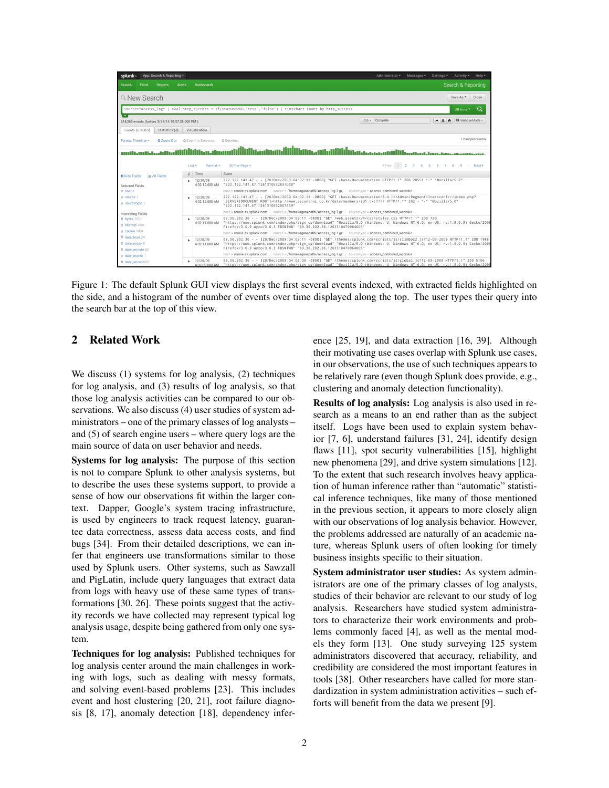| splunk>                                                                                                                                                             | App: Search & Reporting = |              |                            |                                                                                                                                                                                                                                                                                                                                               | Administrator =     | Messages $\overline{\phantom{a}}$<br>Settings =<br>Activity + Help + |
|---------------------------------------------------------------------------------------------------------------------------------------------------------------------|---------------------------|--------------|----------------------------|-----------------------------------------------------------------------------------------------------------------------------------------------------------------------------------------------------------------------------------------------------------------------------------------------------------------------------------------------|---------------------|----------------------------------------------------------------------|
| Search<br>Pivot                                                                                                                                                     | <b>Reports</b>            | Alerts       | <b>Dashboards</b>          |                                                                                                                                                                                                                                                                                                                                               |                     | Search & Reporting                                                   |
| Q New Search                                                                                                                                                        |                           |              |                            | source=*access log*   eval http_success = if(status=200,"true","false")   timechart count by http_success                                                                                                                                                                                                                                     |                     | Save As *<br>Close<br>$\Omega$<br>All time *                         |
| 618,369 events (before 3/31/14 10:57:28.000 PM)<br>Events (618.369)                                                                                                 | Statistics (8)            |              | Visualization              |                                                                                                                                                                                                                                                                                                                                               | $Job -$<br>Complete | $A \perp$<br>U Verbose Mode -<br>e.                                  |
| Format Timeline =                                                                                                                                                   | 200m Out                  |              | 2 Zoom to Selection        | <b>O</b> Deselect                                                                                                                                                                                                                                                                                                                             |                     | 1 hour per column                                                    |
| idig.aataan.iliilijjainn.aniattijjihingaaaaaaaattiliikaanaa saanaa sannaan.<br>«Prev 1 2 3 4 5 6 7 8 9 -- Next><br>20 Per Page *<br>List $\star$<br>Format <b>*</b> |                           |              |                            |                                                                                                                                                                                                                                                                                                                                               |                     |                                                                      |
| $\equiv$ All Fields<br><b>El</b> Hide Fields                                                                                                                        |                           | $\mathbf{i}$ | Time.                      | Event                                                                                                                                                                                                                                                                                                                                         |                     |                                                                      |
| Selected Fields<br>$a$ host 1<br>$a$ source $1$<br>a sourcetype 1                                                                                                   |                           |              | 12/20/09<br>4:02:12.000 AM | 222.122.141.47 - - [20/Dec/2009:04:02:12 -0800] "GET /base/Documentation HTTP/1.1" 200 20551 "-" "Mozilla/5.0"<br>"222.122.141.47.1261310532837040"<br>host = ronnie.sv.splunk.com source = /home/aganapathi/access_log.1.gz sourcetype = access_combined_wcookie                                                                             |                     |                                                                      |
|                                                                                                                                                                     |                           |              | 12/20/09                   | 222.122.141.47 - - [20/Dec/2009:04:02:12 -0800] "GET /base/Documentation/3.4.11/Admin/Regmonfiltersconf///index.php?<br>4:02:12.000 AM SERVER [DOCUMENT ROOT]=http://www.dscontrol.co.kr/data/members/id1.txt???? HTTP/1.1" 302 - "-" "Mozilla/5.0"<br>"222.122.141.47.1261310532007459"                                                      |                     |                                                                      |
| <b>Interesting Fields</b><br># bytes 100+                                                                                                                           |                           |              | 12/20/09                   | host = ronnie.sv.splunk.com source = /home/aganapathi/access_log.1.gz sourcetype = access_combined_wcookie<br>69.36.202.36 - - [20/Dec/2009:04:02:11 -0800] "GET /web_assets/v4/css/styles.css HTTP/1.1" 200 730                                                                                                                              |                     |                                                                      |
| $a$ clientip 100+                                                                                                                                                   |                           |              |                            | 4:02:11.000 AM "https://www.splunk.com/index.php/sign_up/download" "Mozilla/5.0 (Windows: U: Windows NT 6.0: en-US: rv:1.9.0.9) Gecko/2009<br>Firefox/3.0.9 Wyzo/3.0.3 FBSMTWB" "69.36.202.36.1261310470964005"                                                                                                                               |                     |                                                                      |
| $a$ cookie $100+$                                                                                                                                                   |                           |              |                            | host = ronnie.sv.splunk.com source = /home/aganapathi/access_log.1.gz sourcetype = access_combined_wcookie                                                                                                                                                                                                                                    |                     |                                                                      |
| # date_hour 24<br># date_mday 8<br># date_minute 60                                                                                                                 |                           |              | 12/20/09                   | 69.36.202.36 - - [20/Dec/2009:04:02:11 -0800] "GET /themes/splunk com/scripts/is/slimbox2.is?12-03-2009 HTTP/1.1" 200 1988<br>4:02:11.000 AM "https://www.splunk.com/index.php/sign_up/download" "Mozilla/5.0 (Windows: U: Windows NT 6.0: en-US: rv:1.9.0.9) Gecko/2009<br>Firefox/3.0.9 Wyzo/3.0.3 FBSMTWB" "69.36.202.36.1261310470964005" |                     |                                                                      |
| a date_month 1                                                                                                                                                      |                           |              |                            | host = ronnie.sv.splunk.com source = /home/aganapathi/access_log.1.gz sourcetype = access_combined_wcookie                                                                                                                                                                                                                                    |                     |                                                                      |
| # date_second 60                                                                                                                                                    |                           |              | 12/20/09                   | 69.36.202.36 - - [20/Dec/2009:04:02:09 -0800] "GET /themes/splunk_com/scripts/js/global.js?12-03-2009 HTTP/1.1" 200 5106<br>4:02:09.000 AM "https://www.splunk.com/index.php/sign_up/download" "Mozilla/5.0 (Windows; U; Windows NT 6.0; en-US; rv:1.9.0.9) Gecko/2009                                                                        |                     |                                                                      |

Figure 1: The default Splunk GUI view displays the first several events indexed, with extracted fields highlighted on the side, and a histogram of the number of events over time displayed along the top. The user types their query into the search bar at the top of this view.

## 2 Related Work

We discuss (1) systems for log analysis, (2) techniques for log analysis, and (3) results of log analysis, so that those log analysis activities can be compared to our observations. We also discuss (4) user studies of system administrators – one of the primary classes of log analysts – and (5) of search engine users – where query logs are the main source of data on user behavior and needs.

Systems for log analysis: The purpose of this section is not to compare Splunk to other analysis systems, but to describe the uses these systems support, to provide a sense of how our observations fit within the larger context. Dapper, Google's system tracing infrastructure, is used by engineers to track request latency, guarantee data correctness, assess data access costs, and find bugs [34]. From their detailed descriptions, we can infer that engineers use transformations similar to those used by Splunk users. Other systems, such as Sawzall and PigLatin, include query languages that extract data from logs with heavy use of these same types of transformations [30, 26]. These points suggest that the activity records we have collected may represent typical log analysis usage, despite being gathered from only one system.

Techniques for log analysis: Published techniques for log analysis center around the main challenges in working with logs, such as dealing with messy formats, and solving event-based problems [23]. This includes event and host clustering [20, 21], root failure diagnosis [8, 17], anomaly detection [18], dependency inference [25, 19], and data extraction [16, 39]. Although their motivating use cases overlap with Splunk use cases, in our observations, the use of such techniques appears to be relatively rare (even though Splunk does provide, e.g., clustering and anomaly detection functionality).

Results of log analysis: Log analysis is also used in research as a means to an end rather than as the subject itself. Logs have been used to explain system behavior [7, 6], understand failures [31, 24], identify design flaws [11], spot security vulnerabilities [15], highlight new phenomena [29], and drive system simulations [12]. To the extent that such research involves heavy application of human inference rather than "automatic" statistical inference techniques, like many of those mentioned in the previous section, it appears to more closely align with our observations of log analysis behavior. However, the problems addressed are naturally of an academic nature, whereas Splunk users of often looking for timely business insights specific to their situation.

System administrator user studies: As system administrators are one of the primary classes of log analysts, studies of their behavior are relevant to our study of log analysis. Researchers have studied system administrators to characterize their work environments and problems commonly faced [4], as well as the mental models they form [13]. One study surveying 125 system administrators discovered that accuracy, reliability, and credibility are considered the most important features in tools [38]. Other researchers have called for more standardization in system administration activities – such efforts will benefit from the data we present [9].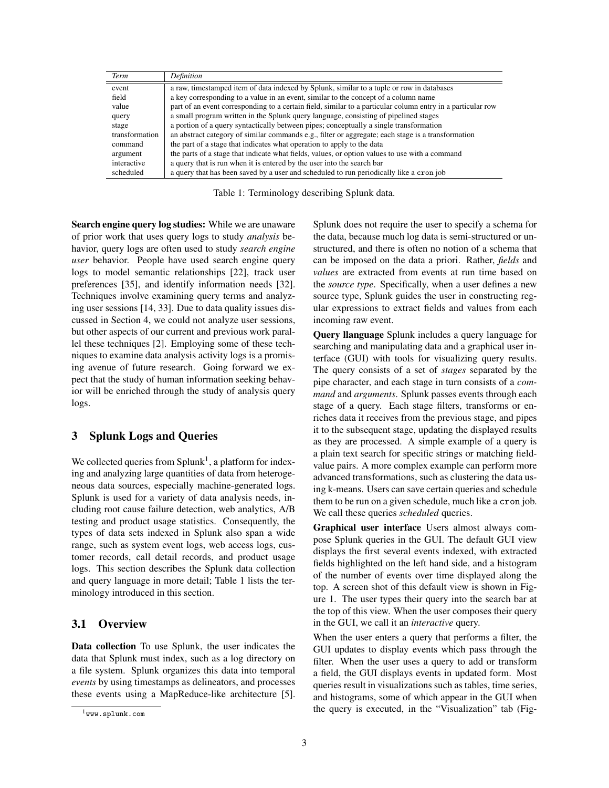| Term           | Definition                                                                                                  |
|----------------|-------------------------------------------------------------------------------------------------------------|
| event          | a raw, timestamped item of data indexed by Splunk, similar to a tuple or row in databases                   |
| field          | a key corresponding to a value in an event, similar to the concept of a column name                         |
| value          | part of an event corresponding to a certain field, similar to a particular column entry in a particular row |
| query          | a small program written in the Splunk query language, consisting of pipelined stages                        |
| stage          | a portion of a query syntactically between pipes; conceptually a single transformation                      |
| transformation | an abstract category of similar commands e.g., filter or aggregate; each stage is a transformation          |
| command        | the part of a stage that indicates what operation to apply to the data                                      |
| argument       | the parts of a stage that indicate what fields, values, or option values to use with a command              |
| interactive    | a query that is run when it is entered by the user into the search bar                                      |
| scheduled      | a query that has been saved by a user and scheduled to run periodically like a cron job                     |

Table 1: Terminology describing Splunk data.

Search engine query log studies: While we are unaware of prior work that uses query logs to study *analysis* behavior, query logs are often used to study *search engine user* behavior. People have used search engine query logs to model semantic relationships [22], track user preferences [35], and identify information needs [32]. Techniques involve examining query terms and analyzing user sessions [14, 33]. Due to data quality issues discussed in Section 4, we could not analyze user sessions, but other aspects of our current and previous work parallel these techniques [2]. Employing some of these techniques to examine data analysis activity logs is a promising avenue of future research. Going forward we expect that the study of human information seeking behavior will be enriched through the study of analysis query logs.

#### 3 Splunk Logs and Queries

We collected queries from  $Splunk<sup>1</sup>$ , a platform for indexing and analyzing large quantities of data from heterogeneous data sources, especially machine-generated logs. Splunk is used for a variety of data analysis needs, including root cause failure detection, web analytics, A/B testing and product usage statistics. Consequently, the types of data sets indexed in Splunk also span a wide range, such as system event logs, web access logs, customer records, call detail records, and product usage logs. This section describes the Splunk data collection and query language in more detail; Table 1 lists the terminology introduced in this section.

## 3.1 Overview

Data collection To use Splunk, the user indicates the data that Splunk must index, such as a log directory on a file system. Splunk organizes this data into temporal *events* by using timestamps as delineators, and processes these events using a MapReduce-like architecture [5]. Splunk does not require the user to specify a schema for the data, because much log data is semi-structured or unstructured, and there is often no notion of a schema that can be imposed on the data a priori. Rather, *fields* and *values* are extracted from events at run time based on the *source type*. Specifically, when a user defines a new source type, Splunk guides the user in constructing regular expressions to extract fields and values from each incoming raw event.

Query llanguage Splunk includes a query language for searching and manipulating data and a graphical user interface (GUI) with tools for visualizing query results. The query consists of a set of *stages* separated by the pipe character, and each stage in turn consists of a *command* and *arguments*. Splunk passes events through each stage of a query. Each stage filters, transforms or enriches data it receives from the previous stage, and pipes it to the subsequent stage, updating the displayed results as they are processed. A simple example of a query is a plain text search for specific strings or matching fieldvalue pairs. A more complex example can perform more advanced transformations, such as clustering the data using k-means. Users can save certain queries and schedule them to be run on a given schedule, much like a cron job. We call these queries *scheduled* queries.

Graphical user interface Users almost always compose Splunk queries in the GUI. The default GUI view displays the first several events indexed, with extracted fields highlighted on the left hand side, and a histogram of the number of events over time displayed along the top. A screen shot of this default view is shown in Figure 1. The user types their query into the search bar at the top of this view. When the user composes their query in the GUI, we call it an *interactive* query.

When the user enters a query that performs a filter, the GUI updates to display events which pass through the filter. When the user uses a query to add or transform a field, the GUI displays events in updated form. Most queries result in visualizations such as tables, time series, and histograms, some of which appear in the GUI when the query is executed, in the "Visualization" tab (Fig-

<sup>1</sup>www.splunk.com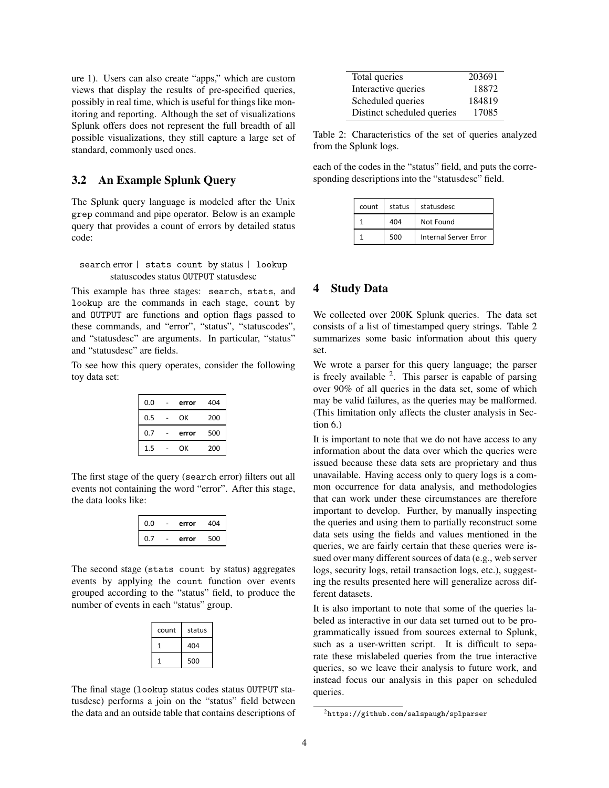ure 1). Users can also create "apps," which are custom views that display the results of pre-specified queries, possibly in real time, which is useful for things like monitoring and reporting. Although the set of visualizations Splunk offers does not represent the full breadth of all possible visualizations, they still capture a large set of standard, commonly used ones.

## 3.2 An Example Splunk Query

The Splunk query language is modeled after the Unix grep command and pipe operator. Below is an example query that provides a count of errors by detailed status code:

search error | stats count by status | lookup statuscodes status OUTPUT statusdesc

This example has three stages: search, stats, and lookup are the commands in each stage, count by and OUTPUT are functions and option flags passed to these commands, and "error", "status", "statuscodes", and "statusdesc" are arguments. In particular, "status" and "statusdesc" are fields.

To see how this query operates, consider the following toy data set:

| 0.0 | error | 404 |
|-----|-------|-----|
| 0.5 | ОΚ    | 200 |
|     |       |     |
| 0.7 | error | 500 |

The first stage of the query (search error) filters out all events not containing the word "error". After this stage, the data looks like:

| 0.0 | error | 404 |
|-----|-------|-----|
|     | error | 500 |

The second stage (stats count by status) aggregates events by applying the count function over events grouped according to the "status" field, to produce the number of events in each "status" group.

| count | status |
|-------|--------|
|       | 404    |
|       | 500    |

The final stage (lookup status codes status OUTPUT statusdesc) performs a join on the "status" field between the data and an outside table that contains descriptions of

| Total queries              | 203691 |
|----------------------------|--------|
| Interactive queries        | 18872  |
| Scheduled queries          | 184819 |
| Distinct scheduled queries | 17085  |

Table 2: Characteristics of the set of queries analyzed from the Splunk logs.

each of the codes in the "status" field, and puts the corresponding descriptions into the "statusdesc" field.

| count | status | statusdesc            |
|-------|--------|-----------------------|
|       | 404    | Not Found             |
|       | 500    | Internal Server Error |

#### 4 Study Data

We collected over 200K Splunk queries. The data set consists of a list of timestamped query strings. Table 2 summarizes some basic information about this query set.

We wrote a parser for this query language; the parser is freely available  $2$ . This parser is capable of parsing over 90% of all queries in the data set, some of which may be valid failures, as the queries may be malformed. (This limitation only affects the cluster analysis in Section 6.)

It is important to note that we do not have access to any information about the data over which the queries were issued because these data sets are proprietary and thus unavailable. Having access only to query logs is a common occurrence for data analysis, and methodologies that can work under these circumstances are therefore important to develop. Further, by manually inspecting the queries and using them to partially reconstruct some data sets using the fields and values mentioned in the queries, we are fairly certain that these queries were issued over many different sources of data (e.g., web server logs, security logs, retail transaction logs, etc.), suggesting the results presented here will generalize across different datasets.

It is also important to note that some of the queries labeled as interactive in our data set turned out to be programmatically issued from sources external to Splunk, such as a user-written script. It is difficult to separate these mislabeled queries from the true interactive queries, so we leave their analysis to future work, and instead focus our analysis in this paper on scheduled queries.

<sup>2</sup>https://github.com/salspaugh/splparser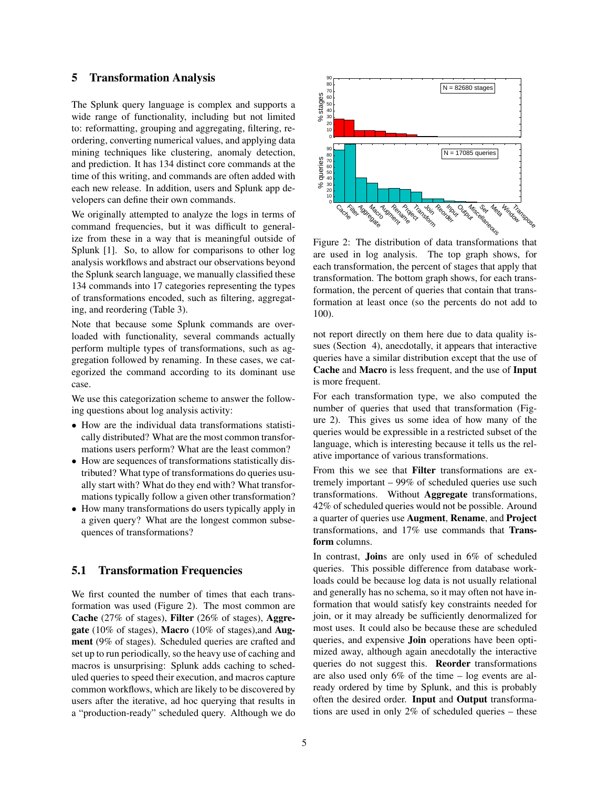#### 5 Transformation Analysis

The Splunk query language is complex and supports a wide range of functionality, including but not limited to: reformatting, grouping and aggregating, filtering, reordering, converting numerical values, and applying data mining techniques like clustering, anomaly detection, and prediction. It has 134 distinct core commands at the time of this writing, and commands are often added with each new release. In addition, users and Splunk app developers can define their own commands.

We originally attempted to analyze the logs in terms of command frequencies, but it was difficult to generalize from these in a way that is meaningful outside of Splunk [1]. So, to allow for comparisons to other log analysis workflows and abstract our observations beyond the Splunk search language, we manually classified these 134 commands into 17 categories representing the types of transformations encoded, such as filtering, aggregating, and reordering (Table 3).

Note that because some Splunk commands are overloaded with functionality, several commands actually perform multiple types of transformations, such as aggregation followed by renaming. In these cases, we categorized the command according to its dominant use case.

We use this categorization scheme to answer the following questions about log analysis activity:

- *•* How are the individual data transformations statistically distributed? What are the most common transformations users perform? What are the least common?
- *•* How are sequences of transformations statistically distributed? What type of transformations do queries usually start with? What do they end with? What transformations typically follow a given other transformation?
- *•* How many transformations do users typically apply in a given query? What are the longest common subsequences of transformations?

#### 5.1 Transformation Frequencies

We first counted the number of times that each transformation was used (Figure 2). The most common are Cache (27% of stages), Filter (26% of stages), Aggregate (10% of stages), Macro (10% of stages),and Augment (9% of stages). Scheduled queries are crafted and set up to run periodically, so the heavy use of caching and macros is unsurprising: Splunk adds caching to scheduled queries to speed their execution, and macros capture common workflows, which are likely to be discovered by users after the iterative, ad hoc querying that results in a "production-ready" scheduled query. Although we do



Figure 2: The distribution of data transformations that are used in log analysis. The top graph shows, for each transformation, the percent of stages that apply that transformation. The bottom graph shows, for each transformation, the percent of queries that contain that transformation at least once (so the percents do not add to 100).

not report directly on them here due to data quality issues (Section 4), anecdotally, it appears that interactive queries have a similar distribution except that the use of Cache and Macro is less frequent, and the use of Input is more frequent.

For each transformation type, we also computed the number of queries that used that transformation (Figure 2). This gives us some idea of how many of the queries would be expressible in a restricted subset of the language, which is interesting because it tells us the relative importance of various transformations.

From this we see that Filter transformations are extremely important – 99% of scheduled queries use such transformations. Without Aggregate transformations, 42% of scheduled queries would not be possible. Around a quarter of queries use Augment, Rename, and Project transformations, and 17% use commands that Transform columns.

In contrast, Joins are only used in 6% of scheduled queries. This possible difference from database workloads could be because log data is not usually relational and generally has no schema, so it may often not have information that would satisfy key constraints needed for join, or it may already be sufficiently denormalized for most uses. It could also be because these are scheduled queries, and expensive **Join** operations have been optimized away, although again anecdotally the interactive queries do not suggest this. Reorder transformations are also used only 6% of the time – log events are already ordered by time by Splunk, and this is probably often the desired order. Input and Output transformations are used in only 2% of scheduled queries – these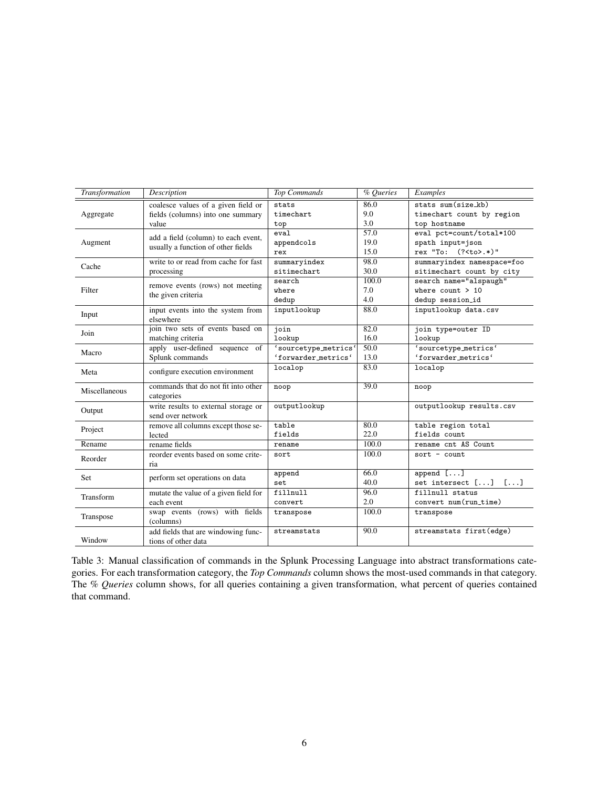| Transformation | Description                                                | <b>Top Commands</b>  | % Queries | Examples                   |
|----------------|------------------------------------------------------------|----------------------|-----------|----------------------------|
|                | coalesce values of a given field or                        | stats                | 86.0      | stats sum(size_kb)         |
| Aggregate      | fields (columns) into one summary                          | timechart            | 9.0       | timechart count by region  |
|                | value                                                      | top                  | 3.0       | top hostname               |
|                | add a field (column) to each event,                        | eval                 | 57.0      | eval pct=count/total*100   |
| Augment        | usually a function of other fields                         | appendcols           | 19.0      | spath input=json           |
|                |                                                            | rex                  | 15.0      | rex "To: (? <to>.*)"</to>  |
| Cache          | write to or read from cache for fast                       | summaryindex         | 98.0      | summaryindex namespace=foo |
|                | processing                                                 | sitimechart          | 30.0      | sitimechart count by city  |
|                | remove events (rows) not meeting                           | search               | 100.0     | search name="alspaugh"     |
| Filter         | the given criteria                                         | where                | 7.0       | where $count > 10$         |
|                |                                                            | dedup                | 4.0       | dedup session_id           |
| Input          | input events into the system from<br>elsewhere             | inputlookup          | 88.0      | inputlookup data.csv       |
| Join           | join two sets of events based on                           | join                 | 82.0      | join type=outer ID         |
|                | matching criteria                                          | lookup               | 16.0      | lookup                     |
|                | apply user-defined sequence of                             | 'sourcetype_metrics' | 50.0      | 'sourcetype_metrics'       |
| Macro          | Splunk commands                                            | 'forwarder_metrics'  | 13.0      | 'forwarder_metrics'        |
| Meta           | configure execution environment                            | localop              | 83.0      | localop                    |
| Miscellaneous  | commands that do not fit into other                        | noop                 | 39.0      | noop                       |
|                | categories                                                 |                      |           |                            |
| Output         | write results to external storage or<br>send over network  | outputlookup         |           | outputlookup results.csv   |
|                | remove all columns except those se-                        | table                | 80.0      | table region total         |
| Project        | lected                                                     | fields               | 22.0      | fields count               |
| Rename         | rename fields                                              | rename               | 100.0     | rename cnt AS Count        |
|                | reorder events based on some crite-                        | sort                 | 100.0     | $sort - count$             |
| Reorder        | ria                                                        |                      |           |                            |
|                |                                                            | append               | 66.0      | append $[]$                |
| Set            | perform set operations on data                             | set                  | 40.0      | set intersect $[]$ $[]$    |
| Transform      | mutate the value of a given field for                      | fillnull             | 96.0      | fillnull status            |
|                | each event                                                 | convert              | 2.0       | convert num(run_time)      |
|                | swap events (rows) with fields                             | transpose            | 100.0     | transpose                  |
| Transpose      | (columns)                                                  |                      |           |                            |
| Window         | add fields that are windowing func-<br>tions of other data | streamstats          | 90.0      | streamstats first(edge)    |

Table 3: Manual classification of commands in the Splunk Processing Language into abstract transformations categories. For each transformation category, the *Top Commands* column shows the most-used commands in that category. The *% Queries* column shows, for all queries containing a given transformation, what percent of queries contained that command.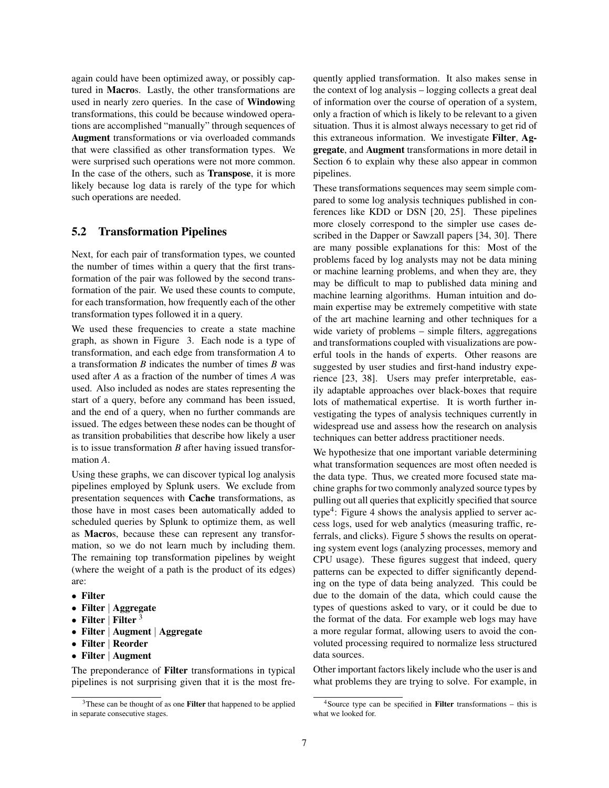again could have been optimized away, or possibly captured in Macros. Lastly, the other transformations are used in nearly zero queries. In the case of Windowing transformations, this could be because windowed operations are accomplished "manually" through sequences of Augment transformations or via overloaded commands that were classified as other transformation types. We were surprised such operations were not more common. In the case of the others, such as Transpose, it is more likely because log data is rarely of the type for which such operations are needed.

#### 5.2 Transformation Pipelines

Next, for each pair of transformation types, we counted the number of times within a query that the first transformation of the pair was followed by the second transformation of the pair. We used these counts to compute, for each transformation, how frequently each of the other transformation types followed it in a query.

We used these frequencies to create a state machine graph, as shown in Figure 3. Each node is a type of transformation, and each edge from transformation *A* to a transformation *B* indicates the number of times *B* was used after *A* as a fraction of the number of times *A* was used. Also included as nodes are states representing the start of a query, before any command has been issued, and the end of a query, when no further commands are issued. The edges between these nodes can be thought of as transition probabilities that describe how likely a user is to issue transformation *B* after having issued transformation *A*.

Using these graphs, we can discover typical log analysis pipelines employed by Splunk users. We exclude from presentation sequences with Cache transformations, as those have in most cases been automatically added to scheduled queries by Splunk to optimize them, as well as Macros, because these can represent any transformation, so we do not learn much by including them. The remaining top transformation pipelines by weight (where the weight of a path is the product of its edges) are:

- *•* Filter
- *•* Filter *|* Aggregate
- *•* Filter *<sup>|</sup>* Filter <sup>3</sup>
- *•* Filter *|* Augment *|* Aggregate
- *•* Filter *|* Reorder
- *•* Filter *|* Augment

The preponderance of Filter transformations in typical pipelines is not surprising given that it is the most frequently applied transformation. It also makes sense in the context of log analysis – logging collects a great deal of information over the course of operation of a system, only a fraction of which is likely to be relevant to a given situation. Thus it is almost always necessary to get rid of this extraneous information. We investigate Filter, Aggregate, and Augment transformations in more detail in Section 6 to explain why these also appear in common pipelines.

These transformations sequences may seem simple compared to some log analysis techniques published in conferences like KDD or DSN [20, 25]. These pipelines more closely correspond to the simpler use cases described in the Dapper or Sawzall papers [34, 30]. There are many possible explanations for this: Most of the problems faced by log analysts may not be data mining or machine learning problems, and when they are, they may be difficult to map to published data mining and machine learning algorithms. Human intuition and domain expertise may be extremely competitive with state of the art machine learning and other techniques for a wide variety of problems – simple filters, aggregations and transformations coupled with visualizations are powerful tools in the hands of experts. Other reasons are suggested by user studies and first-hand industry experience [23, 38]. Users may prefer interpretable, easily adaptable approaches over black-boxes that require lots of mathematical expertise. It is worth further investigating the types of analysis techniques currently in widespread use and assess how the research on analysis techniques can better address practitioner needs.

We hypothesize that one important variable determining what transformation sequences are most often needed is the data type. Thus, we created more focused state machine graphs for two commonly analyzed source types by pulling out all queries that explicitly specified that source type<sup>4</sup>: Figure 4 shows the analysis applied to server access logs, used for web analytics (measuring traffic, referrals, and clicks). Figure 5 shows the results on operating system event logs (analyzing processes, memory and CPU usage). These figures suggest that indeed, query patterns can be expected to differ significantly depending on the type of data being analyzed. This could be due to the domain of the data, which could cause the types of questions asked to vary, or it could be due to the format of the data. For example web logs may have a more regular format, allowing users to avoid the convoluted processing required to normalize less structured data sources.

Other important factors likely include who the user is and what problems they are trying to solve. For example, in

<sup>&</sup>lt;sup>3</sup>These can be thought of as one **Filter** that happened to be applied in separate consecutive stages.

 $4$ Source type can be specified in **Filter** transformations – this is what we looked for.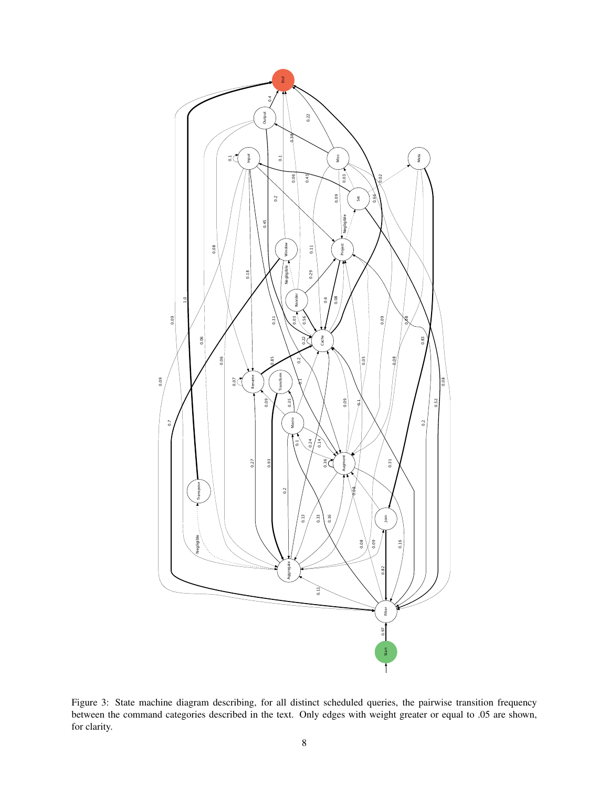

Figure 3: State machine diagram describing, for all distinct scheduled queries, the pairwise transition frequency between the command categories described in the text. Only edges with weight greater or equal to .05 are shown, for clarity.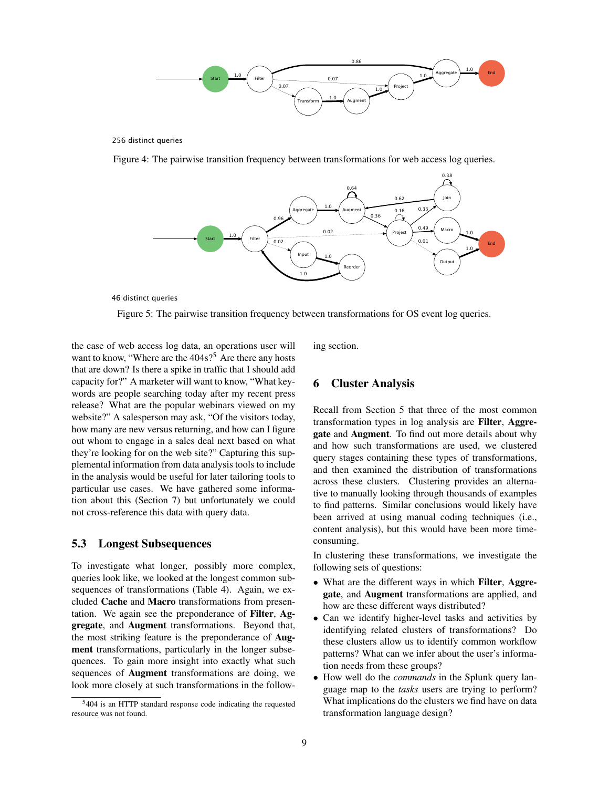

256 distinct queries

Figure 4: The pairwise transition frequency between transformations for web access log queries.



46 distinct queries

the case of web access log data, an operations user will want to know, "Where are the  $404s$ ?<sup>5</sup> Are there any hosts that are down? Is there a spike in traffic that I should add capacity for?" A marketer will want to know, "What keywords are people searching today after my recent press release? What are the popular webinars viewed on my website?" A salesperson may ask, "Of the visitors today, how many are new versus returning, and how can I figure out whom to engage in a sales deal next based on what they're looking for on the web site?" Capturing this supplemental information from data analysis tools to include in the analysis would be useful for later tailoring tools to particular use cases. We have gathered some information about this (Section 7) but unfortunately we could not cross-reference this data with query data.

#### 5.3 Longest Subsequences

To investigate what longer, possibly more complex, queries look like, we looked at the longest common subsequences of transformations (Table 4). Again, we excluded Cache and Macro transformations from presentation. We again see the preponderance of Filter, Aggregate, and Augment transformations. Beyond that, the most striking feature is the preponderance of Augment transformations, particularly in the longer subsequences. To gain more insight into exactly what such sequences of Augment transformations are doing, we look more closely at such transformations in the following section.

#### 6 Cluster Analysis

Recall from Section 5 that three of the most common transformation types in log analysis are Filter, Aggregate and Augment. To find out more details about why and how such transformations are used, we clustered query stages containing these types of transformations, and then examined the distribution of transformations across these clusters. Clustering provides an alternative to manually looking through thousands of examples to find patterns. Similar conclusions would likely have been arrived at using manual coding techniques (i.e., content analysis), but this would have been more timeconsuming.

In clustering these transformations, we investigate the following sets of questions:

- What are the different ways in which Filter, Aggregate, and Augment transformations are applied, and how are these different ways distributed?
- *•* Can we identify higher-level tasks and activities by identifying related clusters of transformations? Do these clusters allow us to identify common workflow patterns? What can we infer about the user's information needs from these groups?
- *•* How well do the *commands* in the Splunk query language map to the *tasks* users are trying to perform? What implications do the clusters we find have on data transformation language design?

Figure 5: The pairwise transition frequency between transformations for OS event log queries.

<sup>5</sup>404 is an HTTP standard response code indicating the requested resource was not found.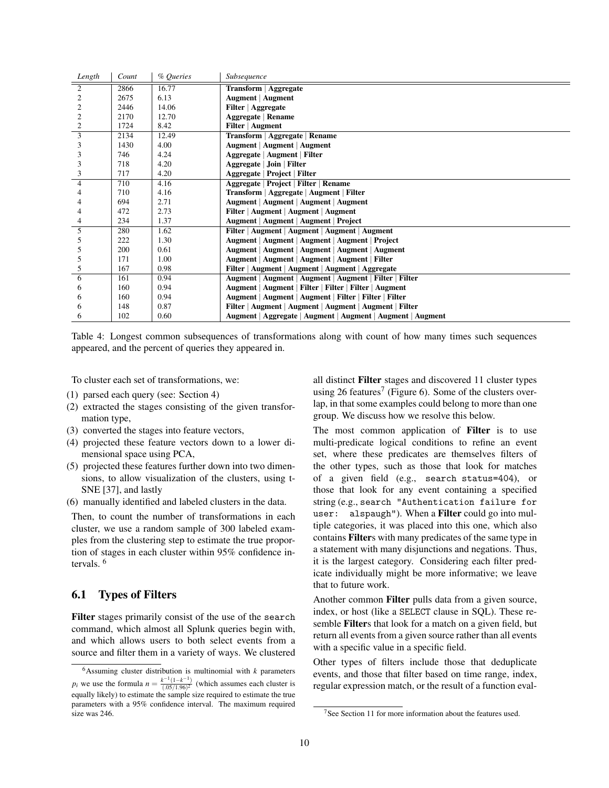| Length         | Count | % Queries | Subsequence                                                 |
|----------------|-------|-----------|-------------------------------------------------------------|
| $\overline{2}$ | 2866  | 16.77     | Transform   Aggregate                                       |
| $\overline{2}$ | 2675  | 6.13      | <b>Augment</b>   Augment                                    |
| 2              | 2446  | 14.06     | Filter   Aggregate                                          |
| 2              | 2170  | 12.70     | Aggregate   Rename                                          |
| $\overline{2}$ | 1724  | 8.42      | Filter   Augment                                            |
| $\overline{3}$ | 2134  | 12.49     | Transform   Aggregate   Rename                              |
| 3              | 1430  | 4.00      | <b>Augment   Augment   Augment</b>                          |
| 3              | 746   | 4.24      | Aggregate   Augment   Filter                                |
| 3              | 718   | 4.20      | Aggregate   Join   Filter                                   |
| 3              | 717   | 4.20      | Aggregate   Project   Filter                                |
| $\overline{4}$ | 710   | 4.16      | Aggregate   Project   Filter   Rename                       |
| 4              | 710   | 4.16      | Transform   Aggregate   Augment   Filter                    |
|                | 694   | 2.71      | Augment   Augment   Augment   Augment                       |
| 4              | 472   | 2.73      | Filter   Augment   Augment   Augment                        |
| 4              | 234   | 1.37      | Augment   Augment   Augment   Project                       |
| 5              | 280   | 1.62      | Filter   Augment   Augment   Augment   Augment              |
| 5              | 222   | 1.30      | Augment   Augment   Augment   Augment   Project             |
| 5              | 200   | 0.61      | Augment   Augment   Augment   Augment   Augment             |
| 5              | 171   | 1.00      | Augment   Augment   Augment   Augment   Filter              |
| 5              | 167   | 0.98      | Filter   Augment   Augment   Augment   Aggregate            |
| 6              | 161   | 0.94      | Augment   Augment   Augment   Augment   Filter   Filter     |
| 6              | 160   | 0.94      | Augment   Augment   Filter   Filter   Filter   Augment      |
| 6              | 160   | 0.94      | Augment   Augment   Augment   Filter   Filter   Filter      |
| 6              | 148   | 0.87      | Filter   Augment   Augment   Augment   Augment   Filter     |
| 6              | 102   | 0.60      | Augment   Aggregate   Augment   Augment   Augment   Augment |

Table 4: Longest common subsequences of transformations along with count of how many times such sequences appeared, and the percent of queries they appeared in.

To cluster each set of transformations, we:

- (1) parsed each query (see: Section 4)
- (2) extracted the stages consisting of the given transformation type,
- (3) converted the stages into feature vectors,
- (4) projected these feature vectors down to a lower dimensional space using PCA,
- (5) projected these features further down into two dimensions, to allow visualization of the clusters, using t-SNE [37], and lastly
- (6) manually identified and labeled clusters in the data.

Then, to count the number of transformations in each cluster, we use a random sample of 300 labeled examples from the clustering step to estimate the true proportion of stages in each cluster within 95% confidence intervals. <sup>6</sup>

## 6.1 Types of Filters

Filter stages primarily consist of the use of the search command, which almost all Splunk queries begin with, and which allows users to both select events from a source and filter them in a variety of ways. We clustered all distinct Filter stages and discovered 11 cluster types using 26 features<sup>7</sup> (Figure 6). Some of the clusters overlap, in that some examples could belong to more than one group. We discuss how we resolve this below.

The most common application of Filter is to use multi-predicate logical conditions to refine an event set, where these predicates are themselves filters of the other types, such as those that look for matches of a given field (e.g., search status=404), or those that look for any event containing a specified string (e.g., search "Authentication failure for user: alspaugh"). When a Filter could go into multiple categories, it was placed into this one, which also contains Filters with many predicates of the same type in a statement with many disjunctions and negations. Thus, it is the largest category. Considering each filter predicate individually might be more informative; we leave that to future work.

Another common Filter pulls data from a given source, index, or host (like a SELECT clause in SQL). These resemble Filters that look for a match on a given field, but return all events from a given source rather than all events with a specific value in a specific field.

Other types of filters include those that deduplicate events, and those that filter based on time range, index, regular expression match, or the result of a function eval-

 $6$ Assuming cluster distribution is multinomial with  $k$  parameters *p*<sup>*i*</sup> we use the formula  $n = \frac{k^{-1}(1-k^{-1})}{(0.05/1.96)^2}$  (which assumes each cluster is equally likely) to estimate the sample size required to estimate the true parameters with a 95% confidence interval. The maximum required size was 246.

 $7$ See Section 11 for more information about the features used.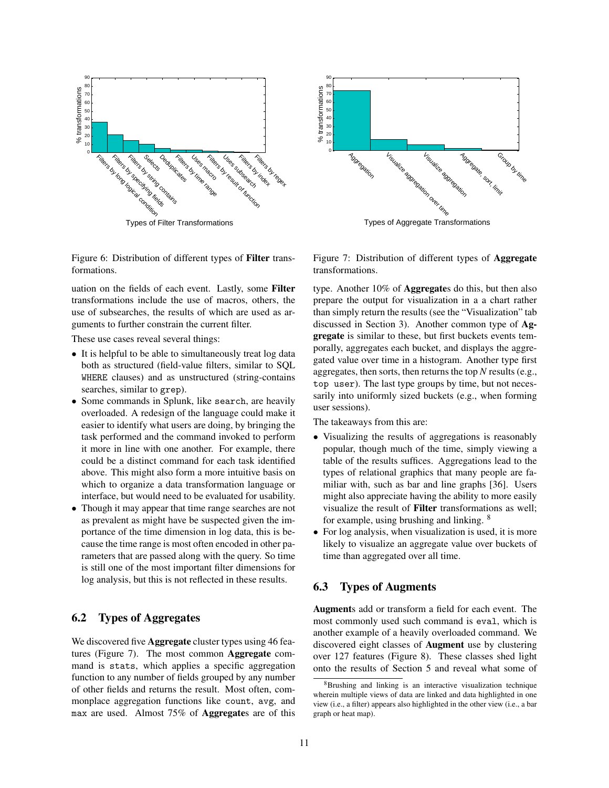



Figure 6: Distribution of different types of Filter transformations.

uation on the fields of each event. Lastly, some Filter transformations include the use of macros, others, the use of subsearches, the results of which are used as arguments to further constrain the current filter.

These use cases reveal several things:

- It is helpful to be able to simultaneously treat log data both as structured (field-value filters, similar to SQL WHERE clauses) and as unstructured (string-contains searches, similar to grep).
- Some commands in Splunk, like search, are heavily overloaded. A redesign of the language could make it easier to identify what users are doing, by bringing the task performed and the command invoked to perform it more in line with one another. For example, there could be a distinct command for each task identified above. This might also form a more intuitive basis on which to organize a data transformation language or interface, but would need to be evaluated for usability.
- *•* Though it may appear that time range searches are not as prevalent as might have be suspected given the importance of the time dimension in log data, this is because the time range is most often encoded in other parameters that are passed along with the query. So time is still one of the most important filter dimensions for log analysis, but this is not reflected in these results.

## 6.2 Types of Aggregates

We discovered five **Aggregate** cluster types using 46 features (Figure 7). The most common Aggregate command is stats, which applies a specific aggregation function to any number of fields grouped by any number of other fields and returns the result. Most often, commonplace aggregation functions like count, avg, and max are used. Almost 75% of Aggregates are of this

Figure 7: Distribution of different types of Aggregate transformations.

type. Another 10% of Aggregates do this, but then also prepare the output for visualization in a a chart rather than simply return the results (see the "Visualization" tab discussed in Section 3). Another common type of Aggregate is similar to these, but first buckets events temporally, aggregates each bucket, and displays the aggregated value over time in a histogram. Another type first aggregates, then sorts, then returns the top *N* results (e.g., top user). The last type groups by time, but not necessarily into uniformly sized buckets (e.g., when forming user sessions).

The takeaways from this are:

- *•* Visualizing the results of aggregations is reasonably popular, though much of the time, simply viewing a table of the results suffices. Aggregations lead to the types of relational graphics that many people are familiar with, such as bar and line graphs [36]. Users might also appreciate having the ability to more easily visualize the result of Filter transformations as well; for example, using brushing and linking. <sup>8</sup>
- For log analysis, when visualization is used, it is more likely to visualize an aggregate value over buckets of time than aggregated over all time.

#### 6.3 Types of Augments

Augments add or transform a field for each event. The most commonly used such command is eval, which is another example of a heavily overloaded command. We discovered eight classes of Augment use by clustering over 127 features (Figure 8). These classes shed light onto the results of Section 5 and reveal what some of

<sup>8</sup>Brushing and linking is an interactive visualization technique wherein multiple views of data are linked and data highlighted in one view (i.e., a filter) appears also highlighted in the other view (i.e., a bar graph or heat map).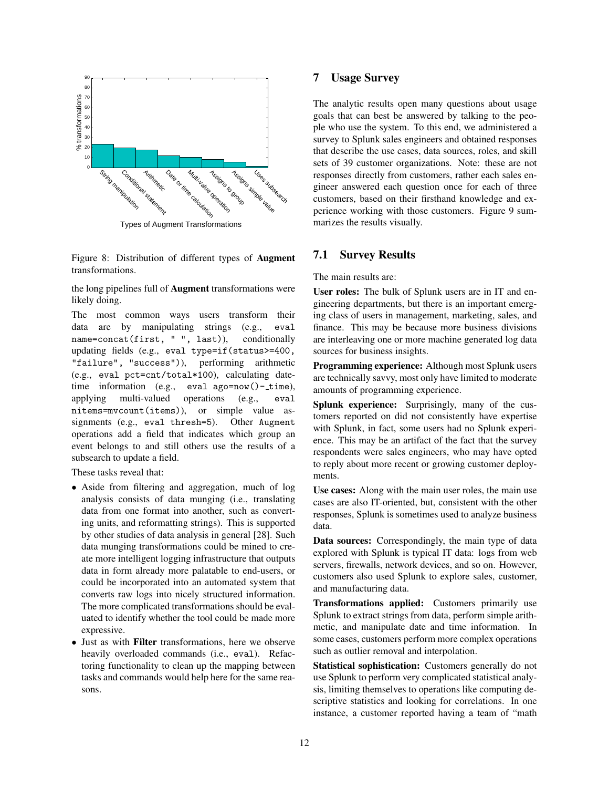

Types of Augment Transformations

Figure 8: Distribution of different types of Augment transformations.

the long pipelines full of Augment transformations were likely doing.

The most common ways users transform their data are by manipulating strings (e.g., eval name=concat(first, " ", last)), conditionally updating fields (e.g., eval type=if(status>=400, "failure", "success")), performing arithmetic (e.g., eval pct=cnt/total\*100), calculating datetime information (e.g., eval ago=now()-\_time), applying multi-valued operations (e.g., eval nitems=mvcount(items)), or simple value assignments (e.g., eval thresh=5). Other Augment operations add a field that indicates which group an event belongs to and still others use the results of a subsearch to update a field.

These tasks reveal that:

- Aside from filtering and aggregation, much of log analysis consists of data munging (i.e., translating data from one format into another, such as converting units, and reformatting strings). This is supported by other studies of data analysis in general [28]. Such data munging transformations could be mined to create more intelligent logging infrastructure that outputs data in form already more palatable to end-users, or could be incorporated into an automated system that converts raw logs into nicely structured information. The more complicated transformations should be evaluated to identify whether the tool could be made more expressive.
- *•* Just as with Filter transformations, here we observe heavily overloaded commands (i.e., eval). Refactoring functionality to clean up the mapping between tasks and commands would help here for the same reasons.

## 7 Usage Survey

The analytic results open many questions about usage goals that can best be answered by talking to the people who use the system. To this end, we administered a survey to Splunk sales engineers and obtained responses that describe the use cases, data sources, roles, and skill sets of 39 customer organizations. Note: these are not responses directly from customers, rather each sales engineer answered each question once for each of three customers, based on their firsthand knowledge and experience working with those customers. Figure 9 summarizes the results visually.

#### 7.1 Survey Results

The main results are:

User roles: The bulk of Splunk users are in IT and engineering departments, but there is an important emerging class of users in management, marketing, sales, and finance. This may be because more business divisions are interleaving one or more machine generated log data sources for business insights.

Programming experience: Although most Splunk users are technically savvy, most only have limited to moderate amounts of programming experience.

Splunk experience: Surprisingly, many of the customers reported on did not consistently have expertise with Splunk, in fact, some users had no Splunk experience. This may be an artifact of the fact that the survey respondents were sales engineers, who may have opted to reply about more recent or growing customer deployments.

Use cases: Along with the main user roles, the main use cases are also IT-oriented, but, consistent with the other responses, Splunk is sometimes used to analyze business data.

Data sources: Correspondingly, the main type of data explored with Splunk is typical IT data: logs from web servers, firewalls, network devices, and so on. However, customers also used Splunk to explore sales, customer, and manufacturing data.

Transformations applied: Customers primarily use Splunk to extract strings from data, perform simple arithmetic, and manipulate date and time information. In some cases, customers perform more complex operations such as outlier removal and interpolation.

Statistical sophistication: Customers generally do not use Splunk to perform very complicated statistical analysis, limiting themselves to operations like computing descriptive statistics and looking for correlations. In one instance, a customer reported having a team of "math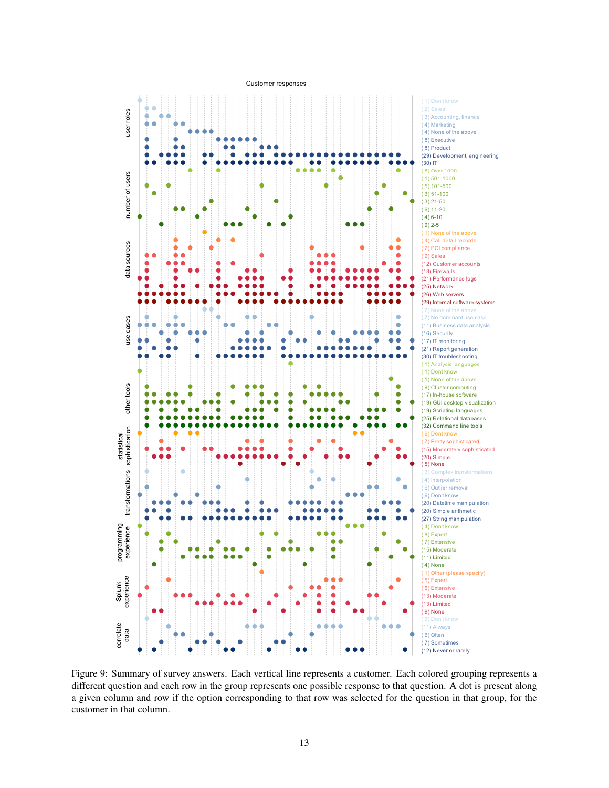

Figure 9: Summary of survey answers. Each vertical line represents a customer. Each colored grouping represents a different question and each row in the group represents one possible response to that question. A dot is present along a given column and row if the option corresponding to that row was selected for the question in that group, for the customer in that column.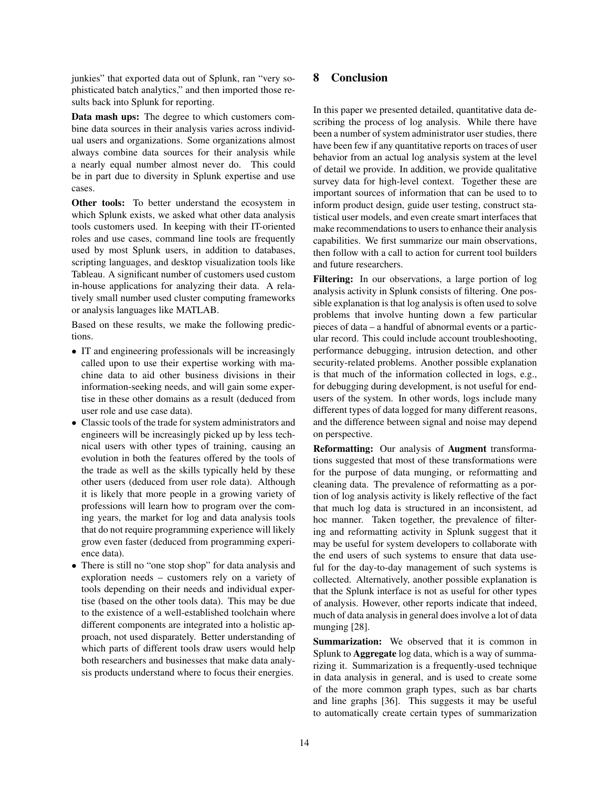junkies" that exported data out of Splunk, ran "very sophisticated batch analytics," and then imported those results back into Splunk for reporting.

Data mash ups: The degree to which customers combine data sources in their analysis varies across individual users and organizations. Some organizations almost always combine data sources for their analysis while a nearly equal number almost never do. This could be in part due to diversity in Splunk expertise and use cases.

Other tools: To better understand the ecosystem in which Splunk exists, we asked what other data analysis tools customers used. In keeping with their IT-oriented roles and use cases, command line tools are frequently used by most Splunk users, in addition to databases, scripting languages, and desktop visualization tools like Tableau. A significant number of customers used custom in-house applications for analyzing their data. A relatively small number used cluster computing frameworks or analysis languages like MATLAB.

Based on these results, we make the following predictions.

- *•* IT and engineering professionals will be increasingly called upon to use their expertise working with machine data to aid other business divisions in their information-seeking needs, and will gain some expertise in these other domains as a result (deduced from user role and use case data).
- *•* Classic tools of the trade for system administrators and engineers will be increasingly picked up by less technical users with other types of training, causing an evolution in both the features offered by the tools of the trade as well as the skills typically held by these other users (deduced from user role data). Although it is likely that more people in a growing variety of professions will learn how to program over the coming years, the market for log and data analysis tools that do not require programming experience will likely grow even faster (deduced from programming experience data).
- *•* There is still no "one stop shop" for data analysis and exploration needs – customers rely on a variety of tools depending on their needs and individual expertise (based on the other tools data). This may be due to the existence of a well-established toolchain where different components are integrated into a holistic approach, not used disparately. Better understanding of which parts of different tools draw users would help both researchers and businesses that make data analysis products understand where to focus their energies.

## 8 Conclusion

In this paper we presented detailed, quantitative data describing the process of log analysis. While there have been a number of system administrator user studies, there have been few if any quantitative reports on traces of user behavior from an actual log analysis system at the level of detail we provide. In addition, we provide qualitative survey data for high-level context. Together these are important sources of information that can be used to to inform product design, guide user testing, construct statistical user models, and even create smart interfaces that make recommendations to users to enhance their analysis capabilities. We first summarize our main observations, then follow with a call to action for current tool builders and future researchers.

Filtering: In our observations, a large portion of log analysis activity in Splunk consists of filtering. One possible explanation is that log analysis is often used to solve problems that involve hunting down a few particular pieces of data – a handful of abnormal events or a particular record. This could include account troubleshooting, performance debugging, intrusion detection, and other security-related problems. Another possible explanation is that much of the information collected in logs, e.g., for debugging during development, is not useful for endusers of the system. In other words, logs include many different types of data logged for many different reasons, and the difference between signal and noise may depend on perspective.

Reformatting: Our analysis of Augment transformations suggested that most of these transformations were for the purpose of data munging, or reformatting and cleaning data. The prevalence of reformatting as a portion of log analysis activity is likely reflective of the fact that much log data is structured in an inconsistent, ad hoc manner. Taken together, the prevalence of filtering and reformatting activity in Splunk suggest that it may be useful for system developers to collaborate with the end users of such systems to ensure that data useful for the day-to-day management of such systems is collected. Alternatively, another possible explanation is that the Splunk interface is not as useful for other types of analysis. However, other reports indicate that indeed, much of data analysis in general does involve a lot of data munging [28].

Summarization: We observed that it is common in Splunk to Aggregate log data, which is a way of summarizing it. Summarization is a frequently-used technique in data analysis in general, and is used to create some of the more common graph types, such as bar charts and line graphs [36]. This suggests it may be useful to automatically create certain types of summarization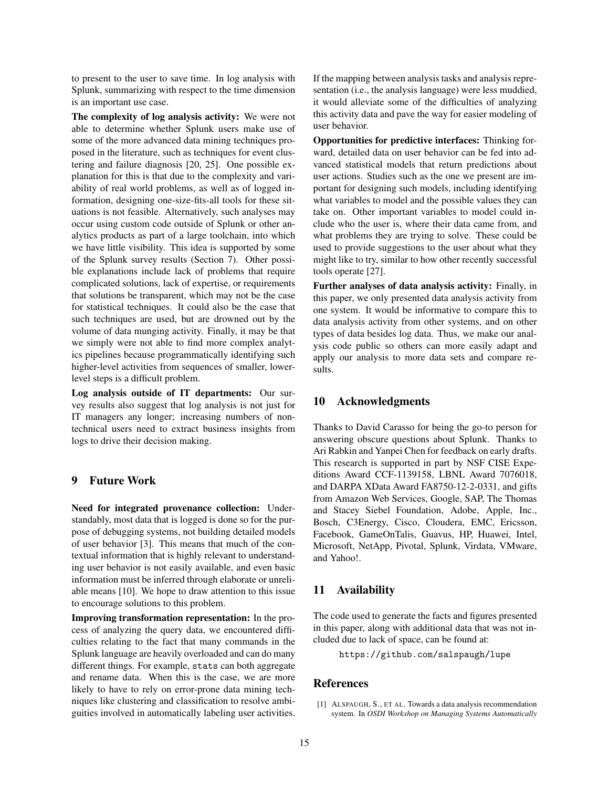to present to the user to save time. In log analysis with Splunk, summarizing with respect to the time dimension is an important use case.

The complexity of log analysis activity: We were not able to determine whether Splunk users make use of some of the more advanced data mining techniques proposed in the literature, such as techniques for event clustering and failure diagnosis [20, 25]. One possible explanation for this is that due to the complexity and variability of real world problems, as well as of logged information, designing one-size-fits-all tools for these situations is not feasible. Alternatively, such analyses may occur using custom code outside of Splunk or other analytics products as part of a large toolchain, into which we have little visibility. This idea is supported by some of the Splunk survey results (Section 7). Other possible explanations include lack of problems that require complicated solutions, lack of expertise, or requirements that solutions be transparent, which may not be the case for statistical techniques. It could also be the case that such techniques are used, but are drowned out by the volume of data munging activity. Finally, it may be that we simply were not able to find more complex analytics pipelines because programmatically identifying such higher-level activities from sequences of smaller, lowerlevel steps is a difficult problem.

Log analysis outside of IT departments: Our survey results also suggest that log analysis is not just for IT managers any longer; increasing numbers of nontechnical users need to extract business insights from logs to drive their decision making.

## 9 Future Work

Need for integrated provenance collection: Understandably, most data that is logged is done so for the purpose of debugging systems, not building detailed models of user behavior [3]. This means that much of the contextual information that is highly relevant to understanding user behavior is not easily available, and even basic information must be inferred through elaborate or unreliable means [10]. We hope to draw attention to this issue to encourage solutions to this problem.

Improving transformation representation: In the process of analyzing the query data, we encountered difficulties relating to the fact that many commands in the Splunk language are heavily overloaded and can do many different things. For example, stats can both aggregate and rename data. When this is the case, we are more likely to have to rely on error-prone data mining techniques like clustering and classification to resolve ambiguities involved in automatically labeling user activities. If the mapping between analysis tasks and analysis representation (i.e., the analysis language) were less muddied, it would alleviate some of the difficulties of analyzing this activity data and pave the way for easier modeling of user behavior.

Opportunities for predictive interfaces: Thinking forward, detailed data on user behavior can be fed into advanced statistical models that return predictions about user actions. Studies such as the one we present are important for designing such models, including identifying what variables to model and the possible values they can take on. Other important variables to model could include who the user is, where their data came from, and what problems they are trying to solve. These could be used to provide suggestions to the user about what they might like to try, similar to how other recently successful tools operate [27].

Further analyses of data analysis activity: Finally, in this paper, we only presented data analysis activity from one system. It would be informative to compare this to data analysis activity from other systems, and on other types of data besides log data. Thus, we make our analysis code public so others can more easily adapt and apply our analysis to more data sets and compare results.

#### 10 Acknowledgments

Thanks to David Carasso for being the go-to person for answering obscure questions about Splunk. Thanks to Ari Rabkin and Yanpei Chen for feedback on early drafts. This research is supported in part by NSF CISE Expeditions Award CCF-1139158, LBNL Award 7076018, and DARPA XData Award FA8750-12-2-0331, and gifts from Amazon Web Services, Google, SAP, The Thomas and Stacey Siebel Foundation, Adobe, Apple, Inc., Bosch, C3Energy, Cisco, Cloudera, EMC, Ericsson, Facebook, GameOnTalis, Guavus, HP, Huawei, Intel, Microsoft, NetApp, Pivotal, Splunk, Virdata, VMware, and Yahoo!.

#### 11 Availability

The code used to generate the facts and figures presented in this paper, along with additional data that was not included due to lack of space, can be found at:

https://github.com/salspaugh/lupe

#### References

[1] ALSPAUGH, S., ET AL. Towards a data analysis recommendation system. In *OSDI Workshop on Managing Systems Automatically*